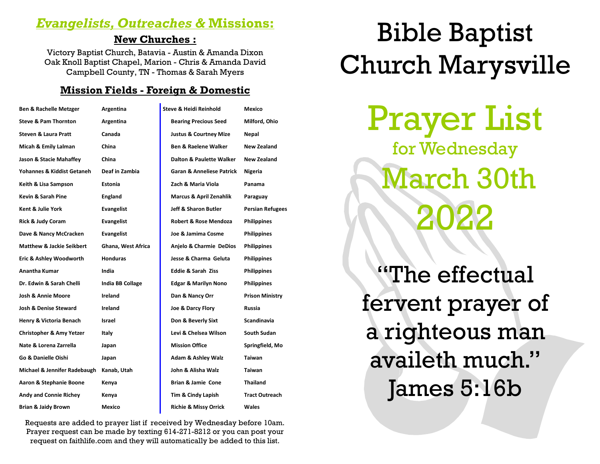# *Evangelists, Outreaches &* **Missions:**

# **New Churches :**

Victory Baptist Church, Batavia - Austin & Amanda Dixon Oak Knoll Baptist Chapel, Marion - Chris & Amanda David Campbell County, TN - Thomas & Sarah Myers

# **Mission Fields - Foreign & Domestic**

| <b>Ben &amp; Rachelle Metzger</b>    | Argentina          | <b>Steve &amp; Heidi Reinhold</b>    | Mexico                  |
|--------------------------------------|--------------------|--------------------------------------|-------------------------|
| <b>Steve &amp; Pam Thornton</b>      | Argentina          | <b>Bearing Precious Seed</b>         | Milford, Ohio           |
| <b>Steven &amp; Laura Pratt</b>      | Canada             | <b>Justus &amp; Courtney Mize</b>    | Nepal                   |
| Micah & Emily Lalman                 | China              | <b>Ben &amp; Raelene Walker</b>      | New Zealand             |
| Jason & Stacie Mahaffey              | China              | Dalton & Paulette Walker             | New Zealand             |
| Yohannes & Kiddist Getaneh           | Deaf in Zambia     | <b>Garan &amp; Anneliese Patrick</b> | Nigeria                 |
| Keith & Lisa Sampson                 | <b>Estonia</b>     | Zach & Maria Viola                   | Panama                  |
| Kevin & Sarah Pine                   | England            | <b>Marcus &amp; April Zenahlik</b>   | Paraguay                |
| Kent & Julie York                    | <b>Evangelist</b>  | Jeff & Sharon Butler                 | <b>Persian Refugees</b> |
| <b>Rick &amp; Judy Coram</b>         | Evangelist         | Robert & Rose Mendoza                | <b>Philippines</b>      |
| Dave & Nancy McCracken               | <b>Evangelist</b>  | Joe & Jamima Cosme                   | <b>Philippines</b>      |
| <b>Matthew &amp; Jackie Seikbert</b> | Ghana, West Africa | Anjelo & Charmie DeDios              | <b>Philippines</b>      |
| Eric & Ashley Woodworth              | <b>Honduras</b>    | Jesse & Charma Geluta                | <b>Philippines</b>      |
| <b>Anantha Kumar</b>                 | India              | <b>Eddie &amp; Sarah Ziss</b>        | <b>Philippines</b>      |
| Dr. Edwin & Sarah Chelli             | India BB Collage   | <b>Edgar &amp; Marilyn Nono</b>      | <b>Philippines</b>      |
| <b>Josh &amp; Annie Moore</b>        | Ireland            | Dan & Nancy Orr                      | <b>Prison Ministry</b>  |
| <b>Josh &amp; Denise Steward</b>     | Ireland            | Joe & Darcy Flory                    | Russia                  |
| Henry & Victoria Benach              | Israel             | Don & Beverly Sixt                   | <b>Scandinavia</b>      |
| <b>Christopher &amp; Amy Yetzer</b>  | Italy              | Levi & Chelsea Wilson                | South Sudan             |
| Nate & Lorena Zarrella               | Japan              | <b>Mission Office</b>                | Springfield, Mo         |
| Go & Danielle Oishi                  | Japan              | <b>Adam &amp; Ashley Walz</b>        | Taiwan                  |
| Michael & Jennifer Radebaugh         | Kanab, Utah        | John & Alisha Walz                   | Taiwan                  |
| Aaron & Stephanie Boone              | Kenya              | Brian & Jamie Cone                   | Thailand                |
| <b>Andy and Connie Richey</b>        | Kenya              | Tim & Cindy Lapish                   | <b>Tract Outreach</b>   |
| <b>Brian &amp; Jaidy Brown</b>       | Mexico             | <b>Richie &amp; Missy Orrick</b>     | <b>Wales</b>            |

Requests are added to prayer list if received by Wednesday before 10am. Prayer request can be made by texting 614-271-8212 or you can post your request on faithlife.com and they will automatically be added to this list.

# Bible Baptist Church Marysville

Prayer List for Wednesday March 30th 2022

"The effectual fervent prayer of a righteous man availeth much." James 5:16b